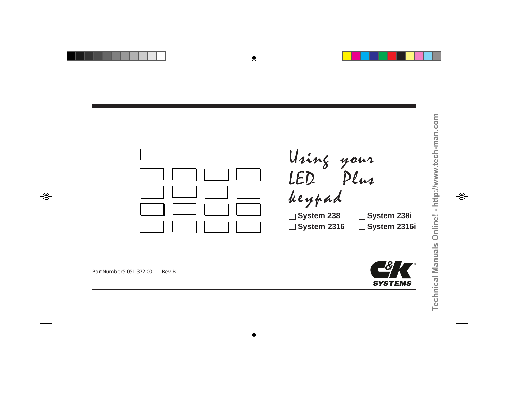

**System 2316i System 238i**

Part Number 5-051-372-00 Rev B

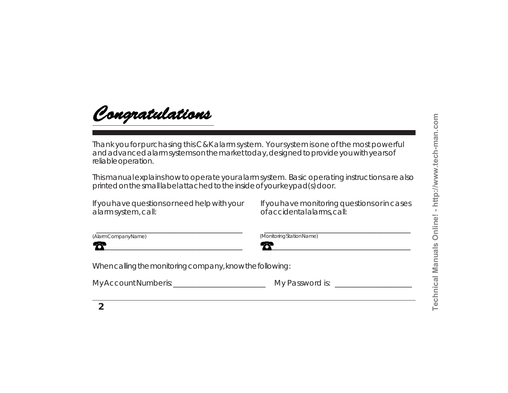

Thank you for purchasing this C&K alarm system. Your system is one of the most powerful and advanced alarm systems on the market today, designed to provide you with years of reliable operation.

This manual explains how to operate your alarm system. Basic operating instructions are also printed on the small label attached to the inside of your keypad(s) door.

If you have questions or need help with your alarm system, call:

| (AlarmCompanyName) |
|--------------------|
|--------------------|

 $\overline{\phantom{a}}$  , and the contract of the contract of the contract of the contract of the contract of the contract of the contract of the contract of the contract of the contract of the contract of the contract of the contrac

When calling the monitoring company, know the following:

My Account Number is:\_\_\_\_\_\_\_\_\_\_\_\_\_\_\_\_\_\_\_\_\_\_\_\_ My Password is: \_\_\_\_\_\_\_\_\_\_\_\_\_\_\_\_\_\_\_\_

If you have monitoring questions or in cases of accidental alarms, call:

\_\_\_\_\_\_\_\_\_\_\_\_\_\_\_\_\_\_\_\_\_\_\_\_\_\_\_\_\_\_\_\_\_\_\_\_\_\_

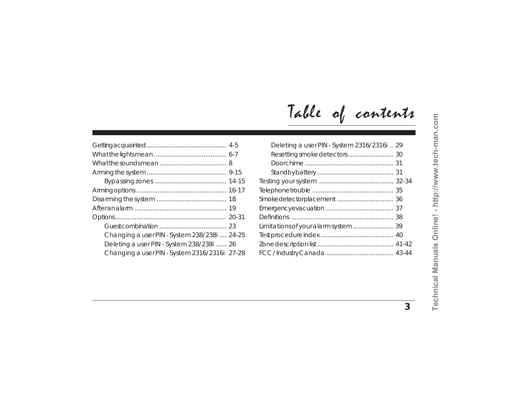| Changing a user PIN - System 238/238i  24-25  |  |
|-----------------------------------------------|--|
| Deleting a user PIN - System 238/238i  26     |  |
| Changing a user PIN - System 2316/2316i 27-28 |  |
|                                               |  |

|  |  | Table of contents |
|--|--|-------------------|
|--|--|-------------------|

| Deleting a user PIN - System 2316/2316i  29 |  |
|---------------------------------------------|--|
|                                             |  |
|                                             |  |
|                                             |  |
|                                             |  |
|                                             |  |
|                                             |  |
|                                             |  |
|                                             |  |
|                                             |  |
|                                             |  |
|                                             |  |
|                                             |  |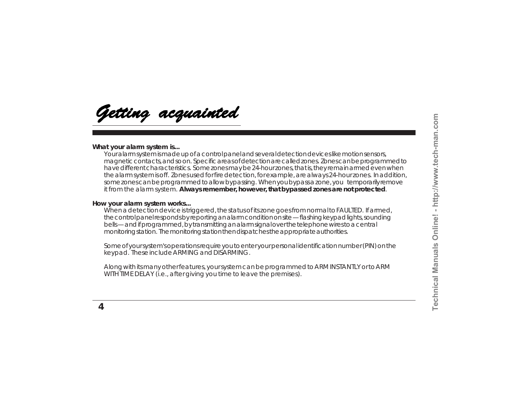Getting acquainted

### **What your alarm system is...**

Your alarm system is made up of a control panel and several detection devices like motion sensors, magnetic contacts, and so on. Specific areas of detection are called zones. Zones can be programmed to have different characteristics. Some zones may be 24-hour zones, that is, they remain armed even when the alarm system is off. Zones used for fire detection, for example, are always 24-hour zones. In addition, some zones can be programmed to allow bypassing. When you bypass a zone, you temporarily remove it from the alarm system. **Always remember, however, that bypassed zones are not protected**.

### **How your alarm system works...**

When a detection device is triggered, the status of its zone goes from normal to FAULTED. If armed, the control panel responds by reporting an alarm condition on site — flashing keypad lights, sounding bells — and if programmed, by transmitting an alarm signal over the telephone wires to a central monitoring station. The monitoring station then dispatches the appropriate authorities.

Some of your system's operations require you to enter your personal identification number (PIN) on the keypad. These include ARMING and DISARMING.

Along with its many other features, your system can be programmed to ARM INSTANTLY or to ARM WITH TIME DELAY (i.e., after giving you time to leave the premises).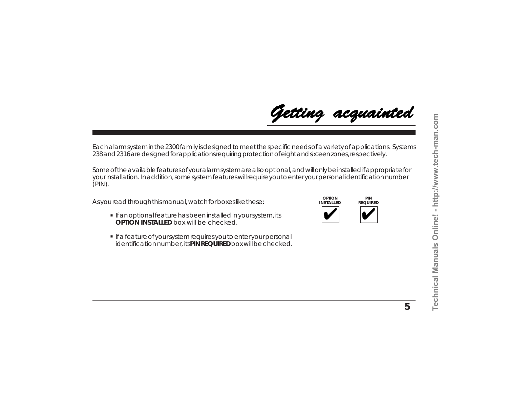

Each alarm system in the 2300 family is designed to meet the specific needs of a variety of applications. Systems 238 and 2316 are designed for applications requiring protection of eight and sixteen zones, respectively.

Some of the available features of your alarm system are also optional, and will only be installed if appropriate for your installation. In addition, some system features will require you to enter your personal identification number  $(PIN)$ .

As you read through this manual, watch for boxes like these:

- If an optional feature has been installed in your system, its **OPTION INSTALLED** box will be checked.
- **.** If a feature of your system requires you to enter your personal identification number, its **PIN REQUIRED** box will be checked.

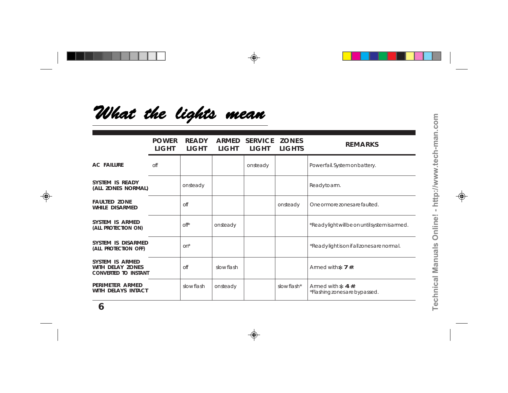# What the lights mean

|                                                                    | <b>POWER</b><br>LIGHT | <b>READY</b><br><b>LIGHT</b> | ARMED<br><b>LIGHT</b> | <b>SERVICE</b><br>LIGHT | <b>ZONES</b><br><b>LIGHTS</b> | <b>REMARKS</b>                                             |
|--------------------------------------------------------------------|-----------------------|------------------------------|-----------------------|-------------------------|-------------------------------|------------------------------------------------------------|
| <b>AC FAILURE</b>                                                  | off                   |                              |                       | onsteady                |                               | Powerfail. System on battery.                              |
| SYSTEM IS READY<br>(ALL ZONES NORMAL)                              |                       | onsteady                     |                       |                         |                               | Readytoarm.                                                |
| <b>FAULTED ZONE</b><br>WHILE DISARMED                              |                       | off                          |                       |                         | onsteady                      | One or more zones are faulted.                             |
| SYSTEM IS ARMED<br>(ALL PROTECTION ON)                             |                       | $\Omega$ <sup>*</sup>        | onsteady              |                         |                               | *Readylight will be on until system is armed.              |
| SYSTEM IS DISARMED<br>(ALL PROTECTION OFF)                         |                       | $on^*$                       |                       |                         |                               | *Readylight is on if all zones are normal.                 |
| SYSTEM IS ARMED<br>WITH DELAY ZONES<br><b>CONVERTED TO INSTANT</b> |                       | off                          | slow flash            |                         |                               | Armed with $\ast$ 7 #.                                     |
| PERIMETER ARMED<br>WITH DELAYS INTACT                              |                       | slow flash                   | onsteady              |                         | slowflash*                    | Armed with $\approx$ 4 #.<br>*Flashing zones are bypassed. |
|                                                                    |                       |                              |                       |                         |                               |                                                            |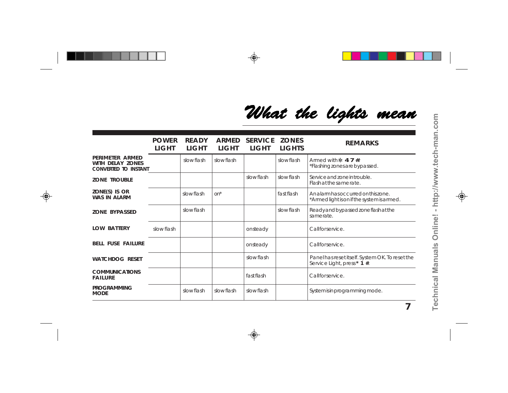# What the lights mean

|                                                                    | <b>POWER</b><br>LIGHT | <b>READY</b><br>LIGHT | ARMED<br>LIGHT | <b>SERVICE</b><br>LIGHT | <b>ZONES</b><br><b>LIGHTS</b> | <b>REMARKS</b>                                                                    |
|--------------------------------------------------------------------|-----------------------|-----------------------|----------------|-------------------------|-------------------------------|-----------------------------------------------------------------------------------|
| PERIMETER ARMED<br>WITH DELAY ZONES<br><b>CONVERTED TO INSTANT</b> |                       | slow flash            | slow flash     |                         | slowflash                     | Armed with $\approx 47$ #<br>*Flashing zones are bypassed.                        |
| <b>ZONE TROUBLE</b>                                                |                       |                       |                | slow flash              | slow flash                    | Service and zone in trouble.<br>Flash at the same rate.                           |
| ZONE(S) IS OR<br>WAS IN ALARM                                      |                       | slow flash            | $on^*$         |                         | fastflash                     | An alarm has occurred on this zone.<br>*Armed light is on if the system is armed. |
| <b>ZONE BYPASSED</b>                                               |                       | slowflash             |                |                         | slow flash                    | Ready and bypassed zone flash at the<br>samerate.                                 |
| <b>LOW BATTERY</b>                                                 | slow flash            |                       |                | onsteady                |                               | Callforservice.                                                                   |
| <b>BELL FUSE FAILURE</b>                                           |                       |                       |                | onsteady                |                               | Callforservice.                                                                   |
| <b>WATCHDOG RESET</b>                                              |                       |                       |                | slowflash               |                               | Panel has reset itself. System OK. To reset the<br>Service Light, press* 1 #.     |
| <b>COMMUNICATIONS</b><br><b>FAILURE</b>                            |                       |                       |                | fast flash              |                               | Callforservice.                                                                   |
| <b>PROGRAMMING</b><br><b>MODE</b>                                  |                       | slowflash             | slow flash     | slowflash               |                               | System is in programming mode.                                                    |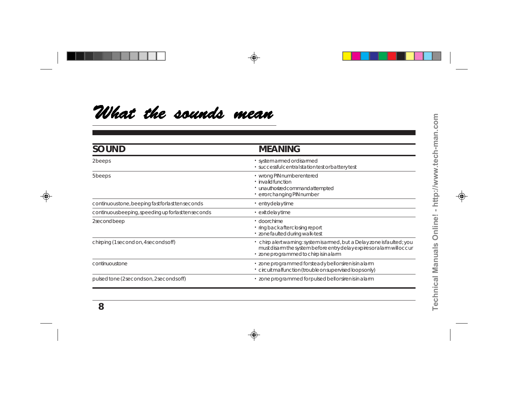# What the sounds mean

| <b>SOUND</b>                                        | <b>MEANING</b>                                                                                                                                                                              |
|-----------------------------------------------------|---------------------------------------------------------------------------------------------------------------------------------------------------------------------------------------------|
| 2beeps                                              | · system armed or disarmed<br>· successful central station test or battery test                                                                                                             |
| 5beeps                                              | · wrong PIN number entered<br>$\cdot$ invalid function<br>· unauthorizedcommandattempted<br>· errorchanging PIN number                                                                      |
| continuoustone, beeping fast for last tenseconds    | · entrydelaytime                                                                                                                                                                            |
| continuous beeping, speeding up for last tenseconds | $\cdot$ exit delay time                                                                                                                                                                     |
| 2secondbeep                                         | $\cdot$ doorchime<br>· ringbackafterclosingreport<br>· zonefaulted during walk-test                                                                                                         |
| chirping (1 second on, 4 seconds off)               | · chirp alert warning: system is armed, but a Delay zone is faulted; you<br>must disarm the system before entry delay expires or alarm will occur<br>· zone programmed to chirp is in alarm |
| continuoustone                                      | · zone programmed for steady bell or siren is in a larm<br>· circuit malfunction (trouble on supervised loops only)                                                                         |
| pulsed tone (2 seconds on, 2 seconds off)           | · zone programmed for pulsed bell or siren is in a larm                                                                                                                                     |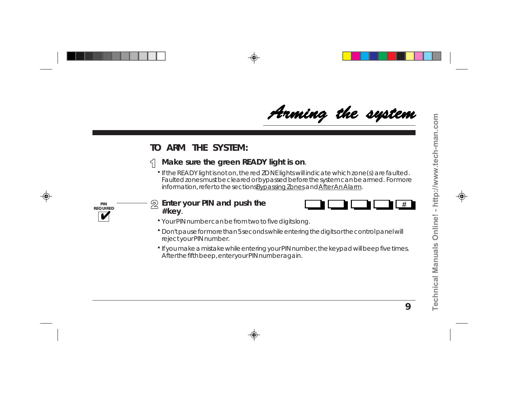# Arming the system

## **TO ARM THE SYSTEM:**

#### **Make sure the green READY light is on**.  $\leq$

If the READY light is not on, the red ZONE lights will indicate which zone(s) are faulted. **.** Faulted zones must be cleared or bypassed before the system can be armed. For more information, refer to the sections Bypassing Zones and After An Alarm.



#### **Enter your PIN and push the** 2 **# key**.



- Your PIN number can be from two to five digits long. **.**
- Don't pause for more than 5 seconds while entering the digits or the control panel will **.** reject your PIN number.
- If you make a mistake while entering your PIN number, the keypad will beep five times. **.** After the fifth beep, enter your PIN number again.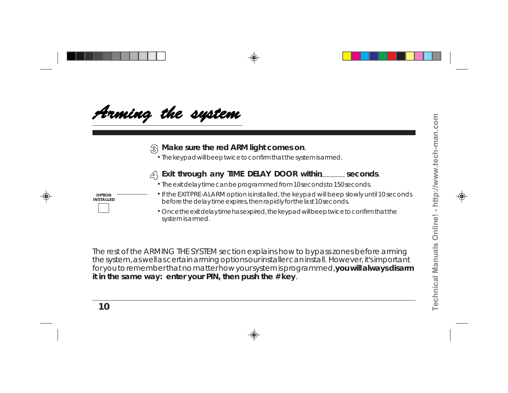

### **Make sure the red ARM light comes on**.

The keypad will beep twice to confirm that the system is armed. **.**



### **Exit through any TIME DELAY DOOR within seconds**.

- The exit delay time can be programmed from 10 seconds to 150 seconds. **.**
- If the EXIT PRE-ALARM option is installed, the keypad will beep slowly until 10 seconds before the delay time expires, then rapidly for the last 10 seconds.
- **.** Once the exit delay time has expired, the keypad will beep twice to confirm that the system is armed.

The rest of the ARMING THE SYSTEM section explains how to bypass zones before arming the system, as well as certain arming options our installer can install. However, it's important for you to remember that no matter how your system is programmed, **you will always disarm it in the same way: enter your PIN, then push the # key**.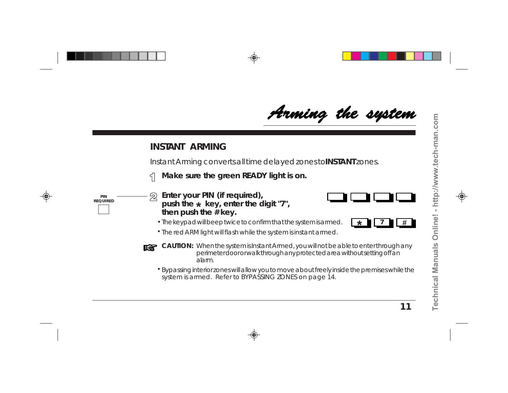# Arming the system

### **INSTANT ARMING**

Instant Arming converts all time delayed zones to **INSTANT** zones.

**Make sure the green READY light is on.** 5



- **Enter your PIN (if required),** 2 **push the key, enter the digit "7", \*then push the # key.**
	- The keypad will beep twice to confirm that the system is armed. **.**



The red ARM light will flash while the system is instant armed. **. #**



- **CAUTION:** When the system is Instant Armed, you will not be able to enter through any perimeter door or walk through any protected area without setting off an alarm.
	- Bypassing interior zones will allow you to move about freely inside the premises while the **.** system is armed. Refer to BYPASSING ZONES on page 14.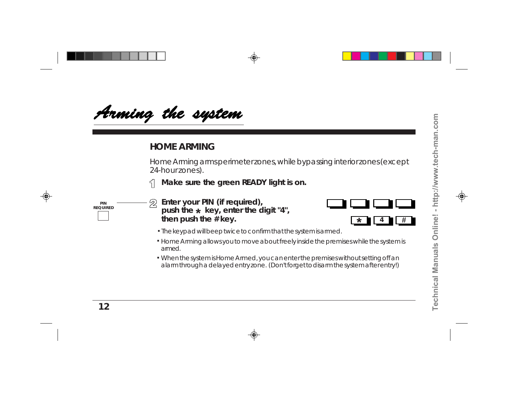

### **HOME ARMING**

Home Arming arms perimeter zones, while bypassing interior zones (except 24-hour zones).

**Make sure the green READY light is on.**

**push the key, enter the digit "4", \***

**Enter your PIN (if required),**

**then push the # key.**

2 **PIN REQUIRED**





- **.** The keypad will beep twice to confirm that the system is armed.
- Home Arming allows you to move about freely inside the premises while the system is **.** armed.
- When the system is Home Armed, you can enter the premises without setting off an **.** alarm through a delayed entry zone. (Don't forget to disarm the system after entry!)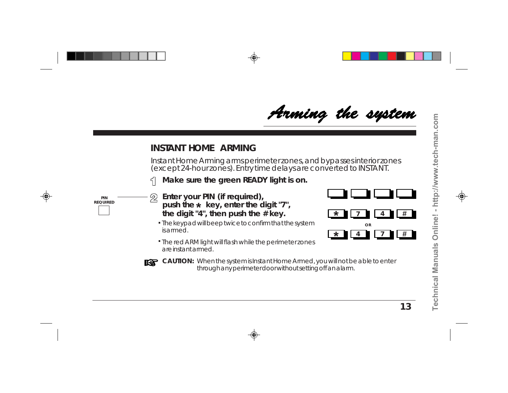# Arming the system

### **INSTANT HOME ARMING**

Instant Home Arming arms perimeter zones, and bypasses interior zones (except 24-hour zones). Entry time delays are converted to INSTANT.

**Make sure the green READY light is on.**



- **Enter your PIN (if required),** 2 **push the key, enter the digit "7", \*the digit "4", then push the # key.**
	- **.** The keypad will beep twice to confirm that the system is armed.
	- **.** The red ARM light will flash while the perimeter zones are instant armed.
- **T&T**
- **CAUTION:** When the system is Instant Home Armed, you will not be able to enter through any perimeter door without setting off an alarm.

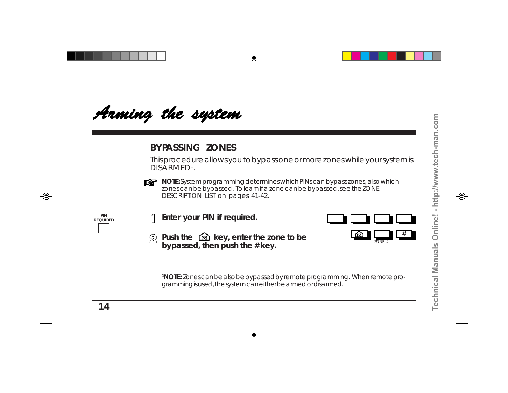

## **BYPASSING ZONES**

This procedure allows you to bypass one or more zones while your system is DISARMED1.



**NOTE:** System programming determines which PINs can bypass zones, also which zones can be bypassed. To learn if a zone can be bypassed, see the ZONE DESCRIPTION LIST on pages 41-42.





**1NOTE:** Zones can be also be bypassed by remote programming. When remote programming is used, the system can either be armed or disarmed.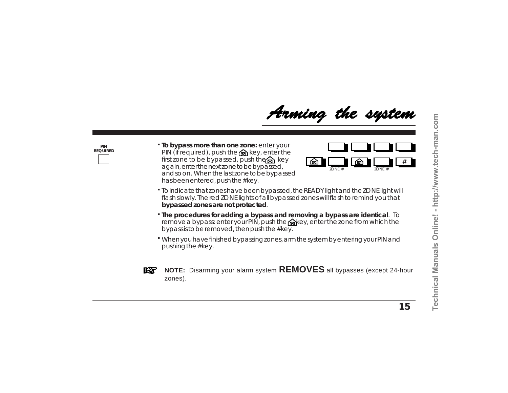

**PIN REQUIRED** **. To bypass more than one zone:** enter your PIN (if required), push the  $\otimes$  key, enter the first zone to be bypassed, push the  $\otimes$  key again, enter the next zone to be bypassed, and so on. When the last zone to be bypassed has been entered, push the # key.



- To indicate that zones have been bypassed, the READY light and the ZONE light will **.** flash slowly. The red ZONE lights of all bypassed zones will flash to remind you that **bypassed zones are not protected**.
- **. The procedures for adding a bypass and removing a bypass are identical**. To remove a bypass: enter your PIN, push the  $\otimes$  key, enter the zone from which the bypass is to be removed, then push the # key.
- When you have finished bypassing zones, arm the system by entering your PIN and **.** pushing the # key.



**NOTE:** Disarming your alarm system **REMOVES** all bypasses (except 24-hour zones).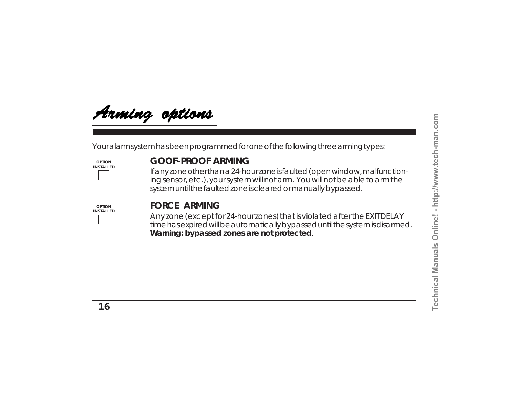

Your alarm system has been programmed for one of the following three arming types:

#### **OPTION INSTALLED**

### **GOOF-PROOF ARMING**

If any zone other than a 24-hour zone is faulted (open window, malfunctioning sensor, etc.), your system will not arm. You will not be able to arm the system until the faulted zone is cleared or manually bypassed.



### **FORCE ARMING**

Any zone (except for 24-hour zones) that is violated after the EXIT DELAY time has expired will be automatically bypassed until the system is disarmed. **Warning: bypassed zones are not protected**.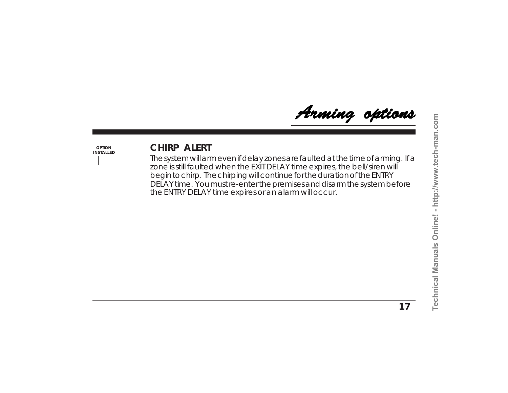Arming options

### **OPTION INSTALLED**

## **CHIRP ALERT**

The system will arm even if delay zones are faulted at the time of arming. If a zone is still faulted when the EXIT DELAY time expires, the bell/siren will begin to chirp. The chirping will continue for the duration of the ENTRY DELAY time. You must re-enter the premises and disarm the system before the ENTRY DELAY time expires or an alarm will occur.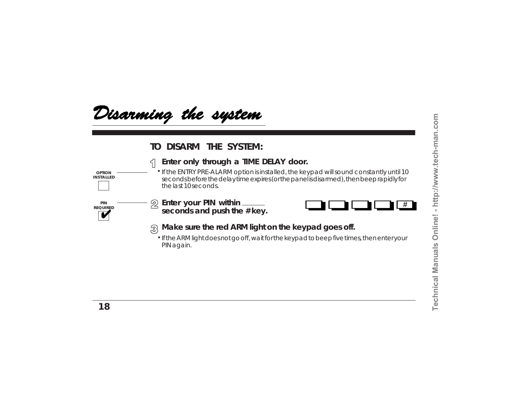**#**



### **TO DISARM THE SYSTEM:**



If the ARM light does not go off, wait for the keypad to beep five times, then enter your **.** PIN again.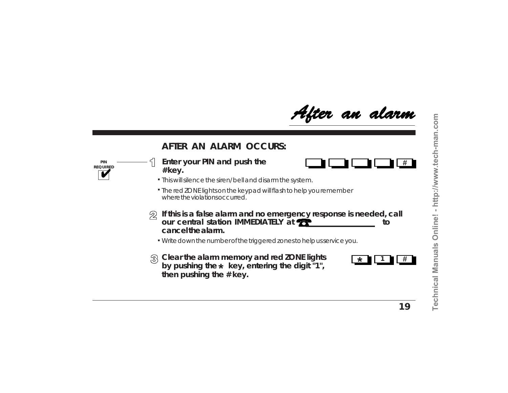After an alarm

### **AFTER AN ALARM OCCURS:**

**PIN REQUIRED**

### **Enter your PIN and push the # key.**

- This will silence the siren/bell and disarm the system. **.**
- The red ZONE lights on the keypad will flash to help you remember **.** where the violations occurred.
- **If this is a false alarm and no emergency response is needed, call** 22 **our central station IMMEDIATELY at <b><sup>th</sup> cancel the alarm.**
	- Write down the number of the triggered zones to help us service you. **.**
- **Clear the alarm memory and red ZONE lights** by pushing the  $\star\,$  key, entering the digit "1", **then pushing the # key.**



**#**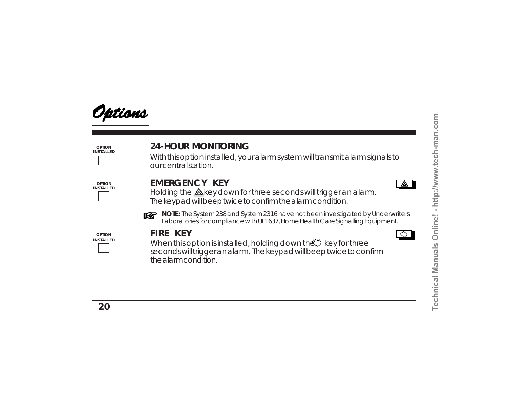**Technical Manuals Online! - http://www.tech-man.com**

Technical Manuals Online! - http://www.tech-man.com



|  | <b>24-HOUR MONITORING</b> |
|--|---------------------------|
|--|---------------------------|

With this option installed, your alarm system will transmit alarm signals to our central station.



**OPTION INSTALLED**

## **EMERGENCY KEY**

Holding the  $\triangle$ key down for three seconds will trigger an alarm. The keypad will beep twice to confirm the alarm condition.



**NOTE:** The System 238 and System 2316 have not been investigated by Underwriters Laboratories for compliance with UL1637, Home Health Care Signalling Equipment.

**OPTION INSTALLED** **FIRE KEY**

When this option is installed, holding down the  $\mathcal{N}$  key for three seconds will trigger an alarm. The keypad will beep twice to confirm the alarm condition.

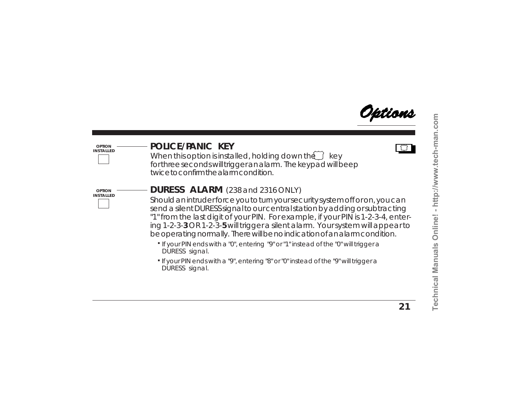

#### **OPTION INSTALLED**

### **POLICE/PANIC KEY**

When this option is installed, holding down the  $\widetilde{\hspace{0.1cm}}$  key for three seconds will trigger an alarm. The keypad will beep twice to confirm the alarm condition.



## **DURESS ALARM** (238 and 2316 ONLY)

Should an intruder force you to turn your security system off or on, you can send a silent DURESS signal to our central station by adding or subtracting "1" from the last digit of your PIN. For example, if your PIN is 1-2-3-4, entering 1-2-3-**3** OR 1-2-3-**5** will trigger a silent alarm. Your system will appear to be operating normally. There will be no indication of an alarm condition.

- If your PIN ends with a "0", entering "9" or "1" instead of the "0" will trigger a DURESS signal.
- $\cdot$  If your PIN ends with a "9", entering "8" or "0" instead of the "9" will trigger  $\varepsilon$ DURESS signal.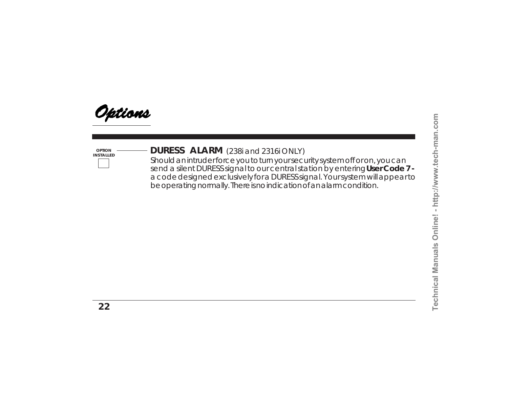

**OPTION**

# **DURESS ALARM INSTALLED** (238i and 2316i ONLY)

Should an intruder force you to turn your security system off or on, you can send a silent DURESS signal to our central station by entering **User Code 7**  a code designed exclusively for a DURESS signal. Your system will appear to be operating normally. There is no indication of an alarm condition.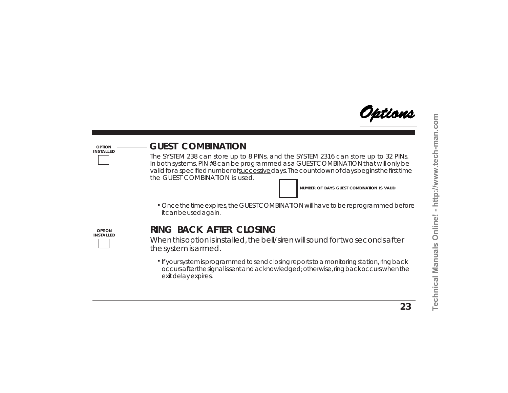

#### **OPTION INSTALLED**

## **GUEST COMBINATION**

The SYSTEM 238 can store up to 8 PINs, and the SYSTEM 2316 can store up to 32 PINs. In both systems, PIN #8 can be programmed as a GUEST COMBINATION that will only be valid for a specified number of successive days. The countdown of days begins the first time the GUEST COMBINATION is used.

**NUMBER OF DAYS GUEST COMBINATION IS VALID**

Once the time expires, the GUEST COMBINATION will have to be reprogrammed before **.** it can be used again.



# **RING BACK AFTER CLOSING**

When this option is installed, the bell/siren will sound for two seconds after the system is armed.

If your system is programmed to send closing reports to a monitoring station, ring back **.** occurs after the signal is sent and acknowledged; otherwise, ring back occurs when the exit delay expires.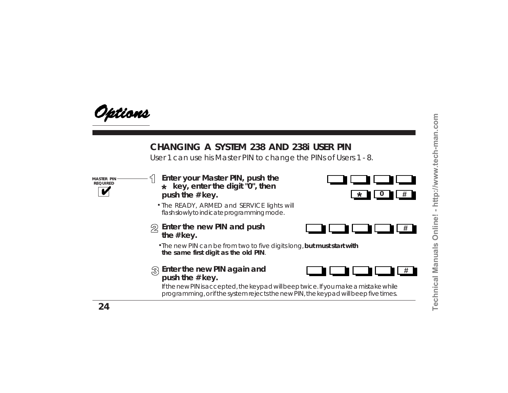

## **CHANGING A SYSTEM 238 AND 238i USER PIN**

User 1 can use his Master PIN to change the PINs of Users 1 - 8.

**MASTER PIN REQUIRED**

- **\* key, enter the digit "0", then push the # key. Enter your Master PIN, push the**
- **.** The READY, ARMED and SERVICE lights will flash slowly to indicate programming mode.
- **Enter the new PIN and push the # key.**





**.** The new PIN can be from two to five digits long, **but must start with the same first digit as the old PIN**.

### **Enter the new PIN again and push the # key.**



If the new PIN is accepted, the keypad will beep twice. If you make a mistake while programming, or if the system rejects the new PIN, the keypad will beep five times.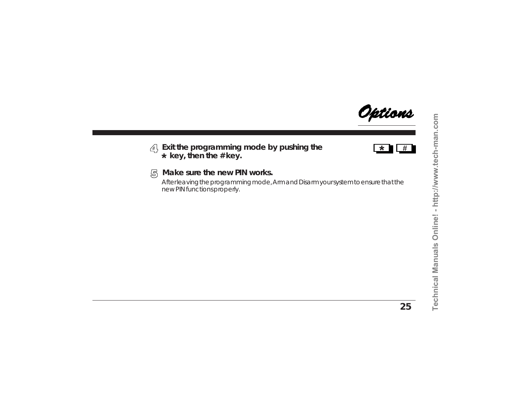<u>Options</u>

### **Exit the programming mode by pushing the key, then the # key. \***



#### **Make sure the new PIN works.** 尽

After leaving the programming mode, Arm and Disarm your system to ensure that the new PIN functions properly.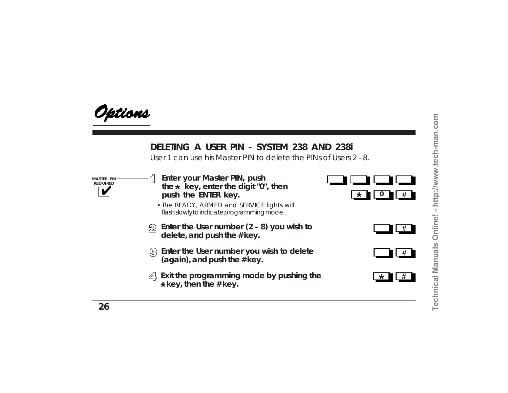

# **DELETING A USER PIN - SYSTEM 238 AND 238i**

User 1 can use his Master PIN to delete the PINs of Users 2 - 8.

**MASTER PIN REQUIRED**

- **Enter your Master PIN, push the key, enter the digit "0", then \*push the ENTER key.**  $\begin{array}{|c|c|c|c|}\hline \ast & \bullet & \bullet & \bullet\ \hline \end{array}$
- The READY, ARMED and SERVICE lights will **.** flash slowly to indicate programming mode.
- **Enter the User number (2 8) you wish to**  $\mathfrak{D}$ **delete, and push the # key.**
- **Enter the User number you wish to delete** 3 **(again), and push the # key.**
- **Exit the programming mode by pushing the key, then the # key. \***





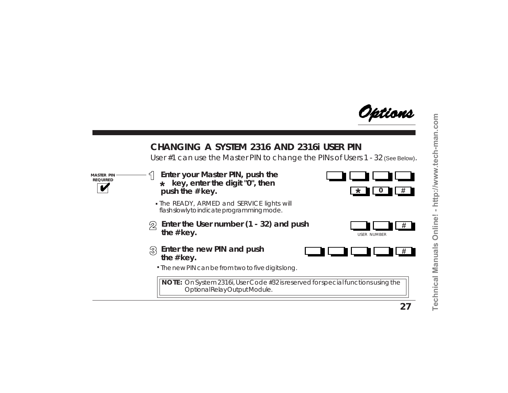Iptions

# **CHANGING A SYSTEM 2316 AND 2316i USER PIN**

User #1 can use the Master PIN to change the PINs of Users 1 - 32 (See Below).

**MASTER PIN REQUIRED**

- **Enter your Master PIN, push the key, enter the digit "0", then \*push the # key.**
- The READY, ARMED and SERVICE lights will **.** flash slowly to indicate programming mode.
- **Enter the User number (1 32) and push** 2 **the # key.**



- **Enter the new PIN and push the # key.**
	- The new PIN can be from two to five digits long. **.**

**NOTE:** On System 2316i, User Code #32 is reserved for special functions using the Optional Relay Output Module.



**\***\* 10 **#**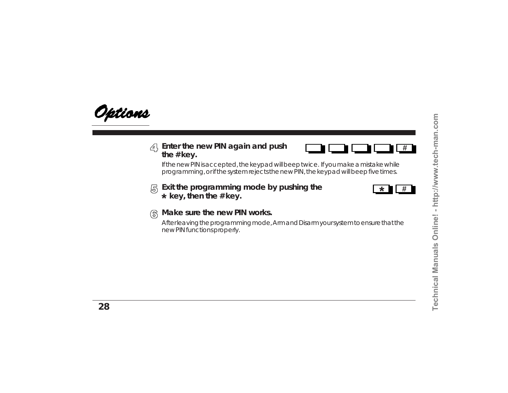

### **Enter the new PIN again and push the # key.**



If the new PIN is accepted, the keypad will beep twice. If you make a mistake while programming, or if the system rejects the new PIN, the keypad will beep five times.

**Exit the programming mode by pushing the** 曷  **key, then the # key. \***



#### **Make sure the new PIN works.** க

After leaving the programming mode, Arm and Disarm your system to ensure that the new PIN functions properly.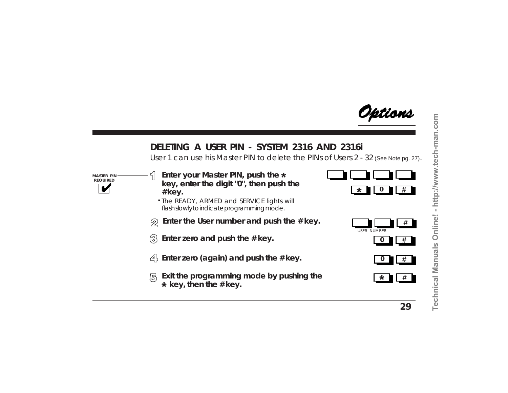Iptions

# **DELETING A USER PIN - SYSTEM 2316 AND 2316i**

User 1 can use his Master PIN to delete the PINs of Users 2 - 32 (See Note pg. 27).

**MASTER PIN REQUIRED**

- **Enter your Master PIN, push the \*key, enter the digit "0", then push the # key.**
- **.** The READY, ARMED and SERVICE lights will flash slowly to indicate programming mode.
- **Enter the User number and push the # key.** 2
- $\{3\}$  Enter zero and push the # key.
- **Enter zero (again) and push the # key.**
- 尽 **Exit the programming mode by pushing the key, then the # key. \***









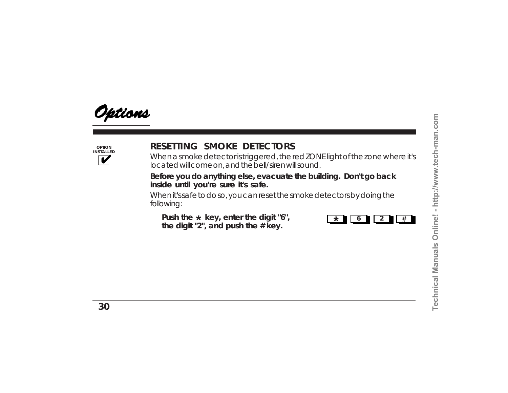

**OPTION INSTALLED**

# **RESETTING SMOKE DETECTORS**

When a smoke detector is triggered, the red ZONE light of the zone where it's located will come on, and the bell/siren will sound.

**Before you do anything else, evacuate the building. Don't go back inside until you're sure it's safe.**

When it's safe to do so, you can reset the smoke detectors by doing the following:

Push the  $\star$  key, enter the digit "6", **the digit "2", and push the # key. <sup>6</sup> <sup>2</sup> #**

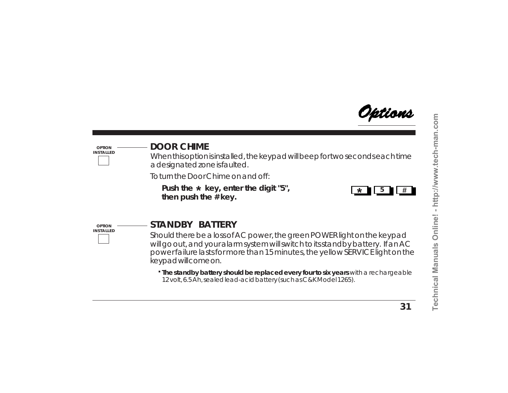Iptions

### **OPTION INSTALLED**

# **DOOR CHIME**

When this option is installed, the keypad will beep for two seconds each time a designated zone is faulted.

To turn the Door Chime on and off:

**Push the key, enter the digit "5", \*then push the # key.**



**OPTION INSTALLED**

# **STANDBY BATTERY**

Should there be a loss of AC power, the green POWER light on the keypad will go out, and your alarm system will switch to its standby battery. If an AC power failure lasts for more than 15 minutes, the yellow SERVICE light on the keypad will come on.

**. The standby battery should be replaced every four to six years** with a rechargeable 12 volt, 6.5 Ah, sealed lead-acid battery (such as C&K Model 1265).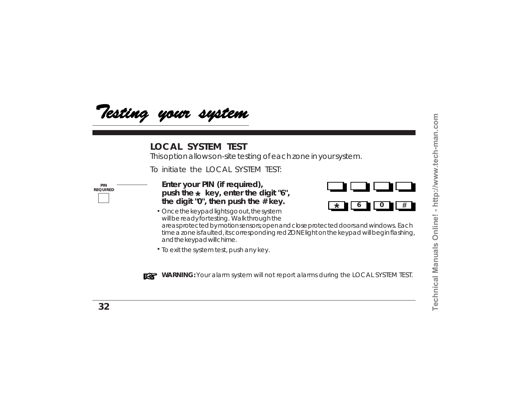

### **LOCAL SYSTEM TEST**

This option allows on-site testing of each zone in your system.

To initiate the LOCAL SYSTEM TEST:

**PIN REQUIRED** **Enter your PIN (if required), push the key, enter the digit "6", \*the digit "0", then push the # key.**



- Once the keypad lights go out, the system **.** will be ready for testing. Walk through the areas protected by motion sensors; open and close protected doors and windows. Each time a zone is faulted, its corresponding red ZONE light on the keypad will begin flashing, and the keypad will chime.
- To exit the system test, push any key. **.**



**WARNING:** Your alarm system will not report alarms during the LOCAL SYSTEM TEST.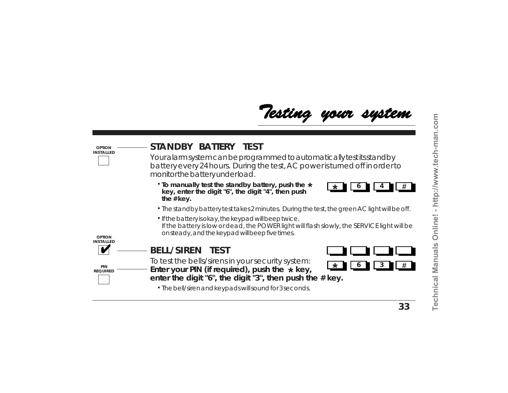# Testing your system

| <b>OPTION</b><br><b>INSTALLED</b> | STANDBY BATTERY TEST<br>Your alarm system can be programmed to automatically test its stand by<br>battery every 24 hours. During the test, AC power is turned off in order to<br>monitor the battery underload. |
|-----------------------------------|-----------------------------------------------------------------------------------------------------------------------------------------------------------------------------------------------------------------|
|                                   | . To manually test the standby battery, push the *<br>$\ast$<br>key, enter the digit "6", the digit "4", then push<br>the # key.                                                                                |
|                                   | · The standby battery test takes 2 minutes. During the test, the green AC light will be off.                                                                                                                    |
| <b>OPTION</b>                     | · If the battery is okay, the keypad will beep twice.<br>If the battery is low or dead, the POWER light will flash slowly, the SERVICE light will be<br>onsteady, and the keypad will beep five times.          |
| <b>INSTALLED</b>                  | <b>BELL/SIREN TEST</b>                                                                                                                                                                                          |
| PIN<br><b>REQUIRED</b>            | To test the bells/sirens in your security system:<br>大<br>Enter your PIN (if required), push the $*$ key,<br>enter the digit " $6$ ", the digit " $3$ ", then push the $\#$ key.                                |
|                                   | • The bell/siren and keypads will sound for 3 seconds.                                                                                                                                                          |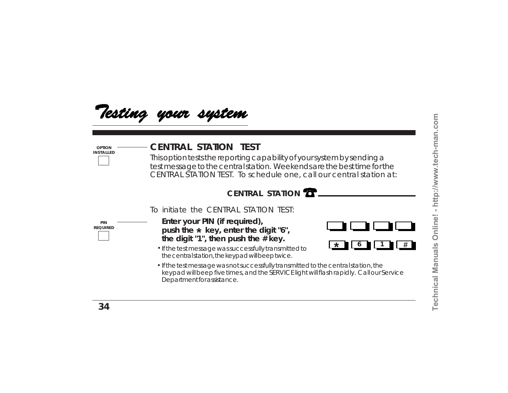

### **CENTRAL STATION TEST**

This option tests the reporting capability of your system by sending a test message to the central station. Weekends are the best time for the CENTRAL STATION TEST. To schedule one, call our central station at:

# **CENTRAL STATION**

To initiate the CENTRAL STATION TEST:

**PIN REQUIRED**

**OPTION INSTALLED**

- **Enter your PIN (if required), push the key, enter the digit "6", \*the digit "1", then push the # key.**
- If the test message was successfully transmitted to **.** the central station, the keypad will beep twice.



If the test message was not successfully transmitted to the central station, the **.** keypad will beep five times, and the SERVICE light will flash rapidly. Call our Service Department for assistance.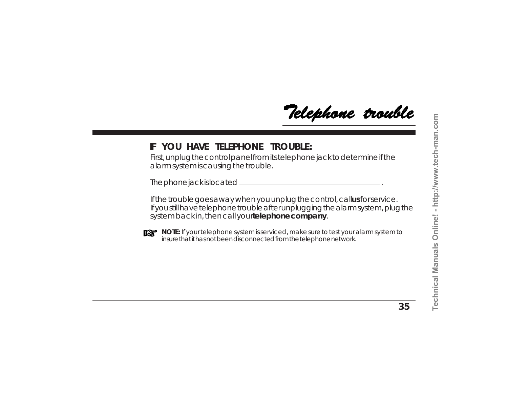Telephone trouble

## **IF YOU HAVE TELEPHONE TROUBLE:**

First, unplug the control panel from its telephone jack to determine if the alarm system is causing the trouble.

The phone jack is located .

If the trouble goes away when you unplug the control, callus for service. If you still have telephone trouble after unplugging the alarm system, plug the system back in, then call your **telephone company**.



**NOTE:** If your telephone system is serviced, make sure to test your alarm system to insure that it has not been disconnected from the telephone network.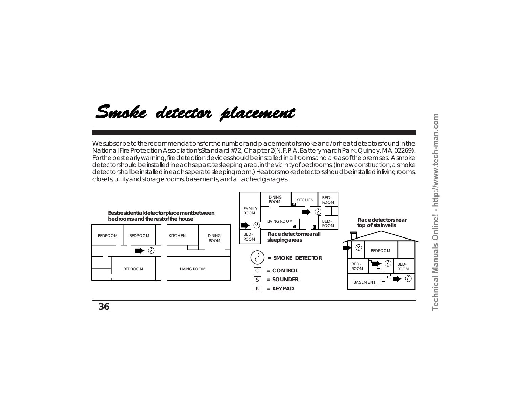# Smoke detector placement

We subscribe to the recommendations for the number and placement of smoke and/or heat detectors found in the National Fire Protection Association's *Standard #72, Chapter 2* (N.F.P.A. Batterymarch Park, Quincy, MA 02269). For the best early warning, fire detection devices should be installed in all rooms and areas of the premises. A smoke detector should be installed in each separate sleeping area, in the vicinity of bedrooms. (In new construction, a smoke detector shall be installed in each seperate sleeping room.) Heat or smoke detectors should be installed in living rooms, closets, utility and storage rooms, basements, and attached garages.

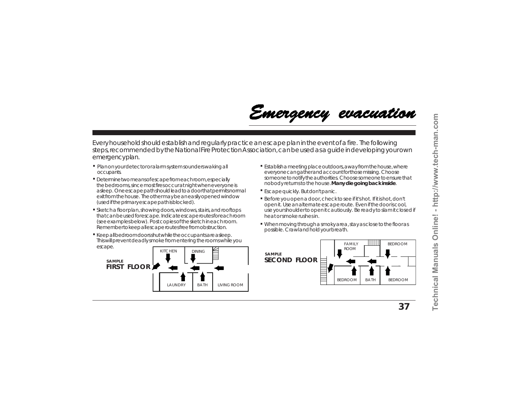

Every household should establish and regularly practice an escape plan in the event of a fire. The following steps, recommended by the National Fire Protection Association, can be used as a guide in developing your own emergency plan.

- **. .** Plan on your detector or alarm system sounders waking all occupants.
- **.** Determine two means of escape from each room, especially the bedrooms, since most fires occur at night when everyone is asleep. One escape path should lead to a door that permits normal exit from the house. The other may be an easily opened window (used if the primary escape path is blocked).
- **.** Sketch a floor plan, showing doors, windows, stairs, and rooftops that can be used for escape. Indicate escape routes for each room (see examples below). Post copies of the sketch in each room. Remember to keep all escape routes free from obstruction.
- **Keep all bedroom doors shut while the occupants are asleep.** This will prevent deadly smoke from entering the rooms while you escape.



- Establish a meeting place outdoors, away from the house, where everyone can gather and account for those missing. Choose someone to notify the authorities. Choose someone to ensure that nobody returns to the house. **Many die going back inside**.
- Escape quickly. But don't panic. **.**
- Before you open a door, check to see if it's hot. If it is hot, don't **.** open it. Use an alternate escape route. Even if the door is cool, use your shoulder to open it cautiously. Be ready to slam it closed if heat or smoke rushes in.
- When moving through a smoky area, stay as close to the floor as **.** possible. Crawl and hold your breath.

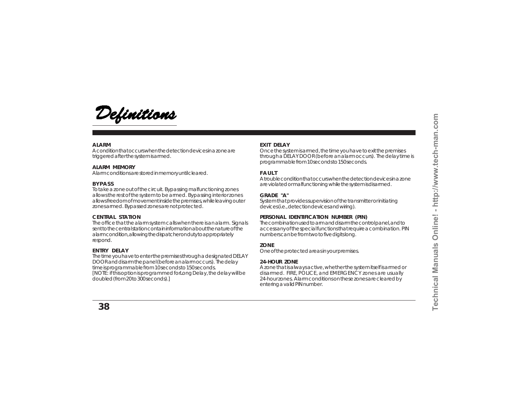

#### **ALARM**

A condition that occurs when the detection devices in a zone are triggered after the system is armed.

### **ALARM MEMORY**

Alarm conditions are stored in memory until cleared.

### **BYPASS**

To take a zone out of the circuit. Bypassing malfunctioning zones allows the rest of the system to be armed. Bypassing interior zones allows freedom of movement inside the premises, while leaving outer zones armed. Bypassed zones are not protected.

#### **CENTRAL STATION**

The office that the alarm system calls when there is an alarm. Signals sent to the central station contain information about the nature of the alarm condition, allowing the dispatcher on duty to appropriately respond.

#### **ENTRY DELAY**

The time you have to enter the premises through a designated DELAY DOOR and disarm the panel (before an alarm occurs). The delay time is programmable from 10 seconds to 150 seconds. [NOTE: if this option is programmed for *Long Delay*, the delay will be doubled (from 20 to 300 seconds).]

### **EXIT DELAY**

Once the system is armed, the time you have to exit the premises through a DELAY DOOR (before an alarm occurs). The delay time is programmable from 10 seconds to 150 seconds.

### **FAULT**

A trouble condition that occurs when the detection devices in a zone are violated or malfunctioning while the system is disarmed.

#### **GRADE "A"**

System that provides supervision of the transmitter or initiating devices (i.e., detection devices and wiring).

### **PERSONAL IDENTIFICATION NUMBER (PIN)**

The combination used to arm and disarm the control panel, and to access any of the special functions that require a combination. PIN numbers can be from two to five digits long.

#### **ZONE**

One of the protected areas in your premises.

### **24-HOUR ZONE**

A zone that is always active, whether the system itself is armed or disarmed. FIRE, POLICE, and EMERGENCY zones are usually 24-hour zones. Alarm conditions on these zones are cleared by entering a valid PIN number.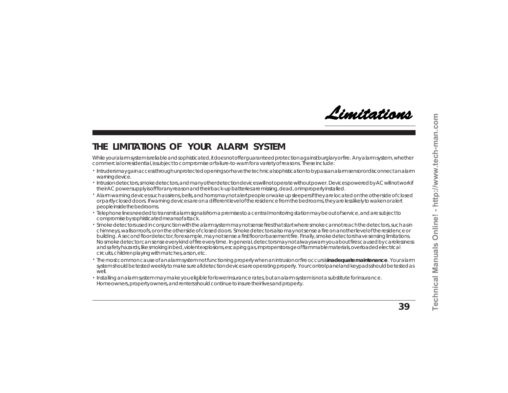

## **THE LIMITATIONS OF YOUR ALARM SYSTEM**

While your alarm system is reliable and sophisticated, it does not offer guaranteed protection against burglary or fire. Any alarm system, whether commercial or residential, is subject to compromise or failure-to-warn for a variety of reasons. These include:

- Intruders may gain access through unprotected openings or have the technical sophistication to bypass an alarm sensor or disconnect an alarm . warning device.
- Intrusion detectors, smoke detectors, and many other detection devices will not operate without power. Devices powered by AC will not work if . their AC power supply is off for any reason and their back-up batteries are missing, dead, or improperly installed.
- \* Alarm warning devices such as sirens, bells, and horns may not alert people or wake up sleepers if they are located on the other side of closed or partly closed doors. If warning devices are on a different level of the residence from the bedrooms, they are less likely to waken or alert people inside the bedrooms.
- $\cdot$  Telephone lines needed to transmit alarm signals from a premises to a central monitoring station may be out of service, and are subject to compromise by sophisticated means of attack.
- $\cdot \,$  Smoke detectors used in conjunction with the alarm system may not sense fires that start where smoke cannot reach the detectors, such as in chimneys, walls or roofs, or on the other side of closed doors. Smoke detectors also may not sense a fire on another level of the residence or building. A second floor detector, for example, may not sense a first floor or basement fire. Finally, smoke detectors have sensing limitations. No smoke detector can sense every kind of fire every time. In general, detectors may not always warn you about fires caused by carelessness and safety hazards, like smoking in bed, violent explosions, escaping gas, improper storage of flammable materials, overloaded electrical circuits, children playing with matches, arson, etc.
- $\cdot$  The most common cause of an alarm system not functioning properly when an intrusion or fire occurs is **inadequate maintenance**. Your alarm system should be tested weekly to make sure all detection devices are operating properly. Your control panel and keypads should be tested as  $M$  $\approx$
- Installing an alarm system may make you eligible for lower insurance rates, but an alarm system is not a substitute for insurance. . Homeowners, property owners, and renters should continue to insure their lives and property.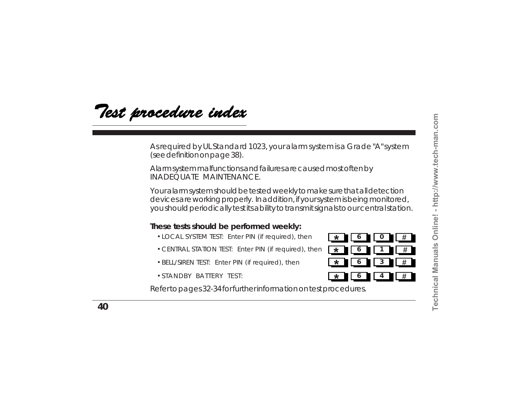Test procedure index

As required by UL Standard 1023, your alarm system is a Grade "A" system (see definition on page 38).

Alarm system malfunctions and failures are caused most often by INADEQUATE MAINTENANCE.

Your alarm system should be tested weekly to make sure that all detection devices are working properly. In addition, if your system is being monitored, you should periodically test its ability to transmit signals to our central station.

### **These tests should be performed weekly:**

- **.** LOCAL SYSTEM TEST: Enter PIN (if required), then **6 0 #**
- **.** CENTRAL STATION TEST: Enter PIN (if required), then
- **.** BELL/SIREN TEST: Enter PIN (if required), then
- **.** STANDBY BATTERY TEST:

Refer to pages 32-34 for further information on test procedures.

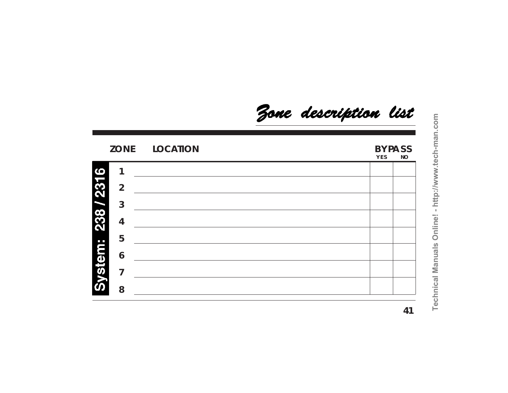**ZONE LOCATION BYPASS Y E S NO** 238 / 2316 **1 2 3 4** System: **5 6 7 8**

Zone description list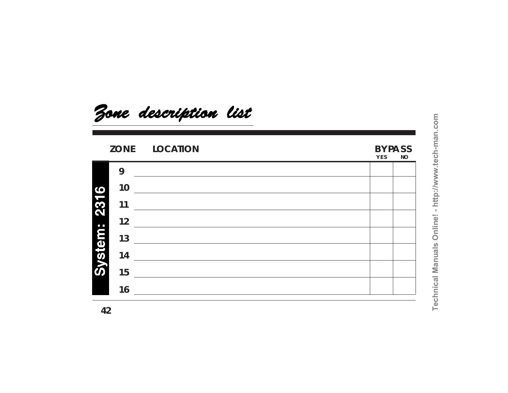

# **ZONE LOCATION BYPASS**

# **Y E S NO**

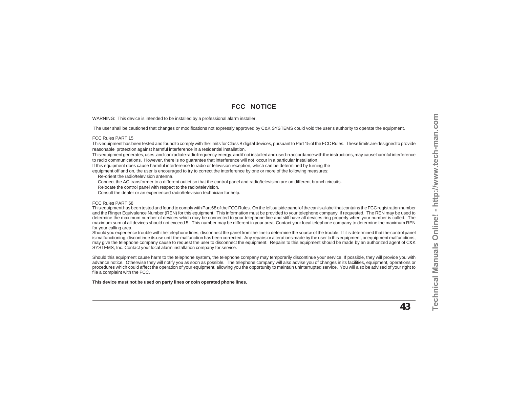### **FCC NOTICE**

WARNING: This device is intended to be installed by a professional alarm installer.

The user shall be cautioned that changes or modifications not expressly approved by C&K SYSTEMS could void the user's authority to operate the equipment.

#### FCC Rules PART 15

This equipment has been tested and found to comply with the limits for Class B digital devices, pursuant to Part 15 of the FCC Rules. These limits are designed to provide reasonable protection against harmful interference in a residential installation.

This equipment generates, uses, and can radiate radio frequency energy, and if not installed and used in accordance with the instructions, may cause harmful interference to radio communications. However, there is no guarantee that interference will not occur in a particular installation.

If this equipment does cause harmful interference to radio or television reception, which can be determined by turning the

equipment off and on, the user is encouraged to try to correct the interference by one or more of the following measures:

Re-orient the radio/television antenna.

Connect the AC transformer to a different outlet so that the control panel and radio/television are on different branch circuits.

Relocate the control panel with respect to the radio/television.

Consult the dealer or an experienced radio/television technician for help.

#### FCC Rules PART 68

This equipment has been tested and found to comply with Part 68 of the FCC Rules. On the left outside panel of the can is a label that contains the FCC registration number and the Ringer Equivalence Number (REN) for this equipment. This information must be provided to your telephone company, if requested. The REN may be used to determine the maximum number of devices which may be connected to your telephone line and still have all devices ring properly when your number is called. The maximum sum of all devices should not exceed 5. This number may be different in your area. Contact your local telephone company to determine the maximum REN for your calling area.

Should you experience trouble with the telephone lines, disconnect the panel from the line to determine the source of the trouble. If it is determined that the control panel is malfunctioning, discontinue its use until the malfunction has been corrected. Any repairs or alterations made by the user to this equipment, or equipment malfunctions, may give the telephone company cause to request the user to disconnect the equipment. Repairs to this equipment should be made by an authorized agent of C&K SYSTEMS, Inc. Contact your local alarm installation company for service.

Should this equipment cause harm to the telephone system, the telephone company may temporarily discontinue your service. If possible, they will provide you with advance notice. Otherwise they will notify you as soon as possible. The telephone company will also advise you of changes in its facilities, equipment, operations or procedures which could affect the operation of your equipment, allowing you the opportunity to maintain uninterrupted service. You will also be advised of your right to file a complaint with the FCC.

**This device must not be used on party lines or coin operated phone lines.**